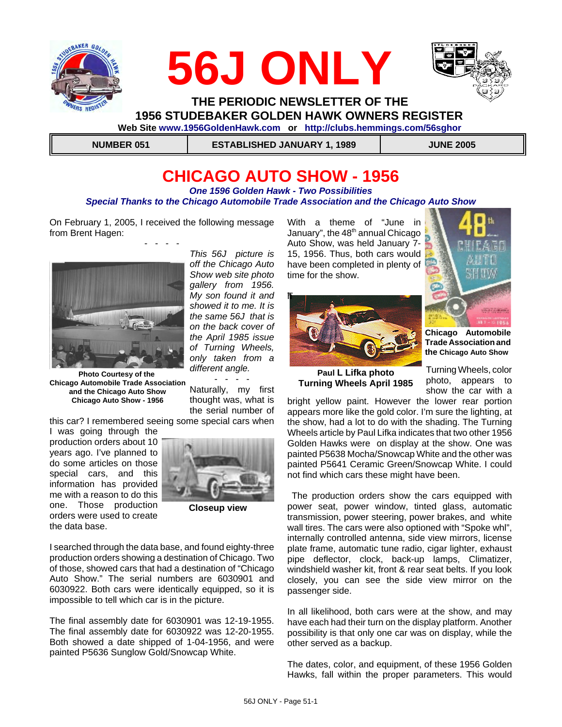





 **THE PERIODIC NEWSLETTER OF THE 1956 STUDEBAKER GOLDEN HAWK OWNERS REGISTER** 

 **Web Site www.1956GoldenHawk.com or http://clubs.hemmings.com/56sghor**

 **NUMBER 051 ESTABLISHED JANUARY 1, 1989 JUNE 2005**

# **CHICAGO AUTO SHOW - 1956**

*One 1596 Golden Hawk - Two Possibilities Special Thanks to the Chicago Automobile Trade Association and the Chicago Auto Show*

On February 1, 2005, I received the following message from Brent Hagen: - - - -



**Photo Courtesy of the Chicago Automobile Trade Association and the Chicago Auto Show Chicago Auto Show - 1956**

this car? I remembered seeing some special cars when

I was going through the production orders about 10 years ago. I've planned to do some articles on those special cars, and this information has provided me with a reason to do this one. Those production orders were used to create the data base.



**Closeup view**

I searched through the data base, and found eighty-three production orders showing a destination of Chicago. Two of those, showed cars that had a destination of "Chicago Auto Show." The serial numbers are 6030901 and 6030922. Both cars were identically equipped, so it is impossible to tell which car is in the picture.

The final assembly date for 6030901 was 12-19-1955. The final assembly date for 6030922 was 12-20-1955. Both showed a date shipped of 1-04-1956, and were painted P5636 Sunglow Gold/Snowcap White.

With a theme of "June in January", the  $48<sup>th</sup>$  annual Chicago Auto Show, was held January 7- 15, 1956. Thus, both cars would have been completed in plenty of time for the show.





**Chicago Automobile Trade Association and the Chicago Auto Show**

**Paul L Lifka photo Turning Wheels April 1985**

Turning Wheels, color photo, appears to show the car with a

bright yellow paint. However the lower rear portion appears more like the gold color. I'm sure the lighting, at the show, had a lot to do with the shading. The Turning Wheels article by Paul Lifka indicates that two other 1956 Golden Hawks were on display at the show. One was painted P5638 Mocha/Snowcap White and the other was painted P5641 Ceramic Green/Snowcap White. I could not find which cars these might have been.

 The production orders show the cars equipped with power seat, power window, tinted glass, automatic transmission, power steering, power brakes, and white wall tires. The cars were also optioned with "Spoke whl", internally controlled antenna, side view mirrors, license plate frame, automatic tune radio, cigar lighter, exhaust pipe deflector, clock, back-up lamps, Climatizer, windshield washer kit, front & rear seat belts. If you look closely, you can see the side view mirror on the passenger side.

In all likelihood, both cars were at the show, and may have each had their turn on the display platform. Another possibility is that only one car was on display, while the other served as a backup.

The dates, color, and equipment, of these 1956 Golden Hawks, fall within the proper parameters. This would

*This 56J picture is off the Chicago Auto Show web site photo gallery from 1956. My son found it and showed it to me. It is the same 56J that is on the back cover of the April 1985 issue of Turning Wheels, only taken from a different angle.*

- - - - Naturally, my first thought was, what is the serial number of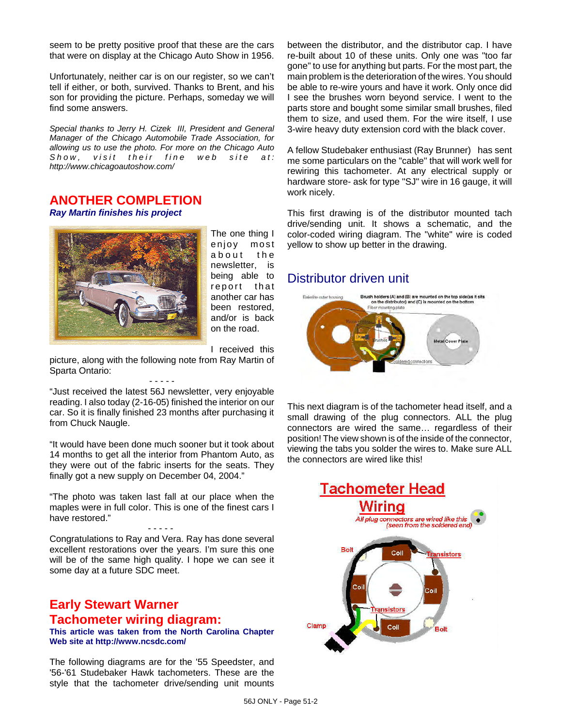seem to be pretty positive proof that these are the cars that were on display at the Chicago Auto Show in 1956.

Unfortunately, neither car is on our register, so we can't tell if either, or both, survived. Thanks to Brent, and his son for providing the picture. Perhaps, someday we will find some answers.

*Special thanks to Jerry H. Cizek III, President and General Manager of the Chicago Automobile Trade Association, for allowing us to use the photo. For more on the Chicago Auto Show, visit their fine web site at: http://www.chicagoautoshow.com/*

### **ANOTHER COMPLETION**

*Ray Martin finishes his project*



The one thing I enjoy most about the newsletter, is being able to report that another car has been restored, and/or is back on the road.

I received this

picture, along with the following note from Ray Martin of Sparta Ontario: - - - - -

"Just received the latest 56J newsletter, very enjoyable reading. I also today (2-16-05) finished the interior on our car. So it is finally finished 23 months after purchasing it from Chuck Naugle.

"It would have been done much sooner but it took about 14 months to get all the interior from Phantom Auto, as they were out of the fabric inserts for the seats. They finally got a new supply on December 04, 2004."

"The photo was taken last fall at our place when the maples were in full color. This is one of the finest cars I have restored."

- - - - - Congratulations to Ray and Vera. Ray has done several excellent restorations over the years. I'm sure this one will be of the same high quality. I hope we can see it some day at a future SDC meet.

### **Early Stewart Warner Tachometer wiring diagram:**

**This article was taken from the North Carolina Chapter Web site at http://www.ncsdc.com/**

The following diagrams are for the '55 Speedster, and '56-'61 Studebaker Hawk tachometers. These are the style that the tachometer drive/sending unit mounts between the distributor, and the distributor cap. I have re-built about 10 of these units. Only one was "too far gone" to use for anything but parts. For the most part, the main problem is the deterioration of the wires. You should be able to re-wire yours and have it work. Only once did I see the brushes worn beyond service. I went to the parts store and bought some similar small brushes, filed them to size, and used them. For the wire itself, I use 3-wire heavy duty extension cord with the black cover.

A fellow Studebaker enthusiast (Ray Brunner) has sent me some particulars on the "cable" that will work well for rewiring this tachometer. At any electrical supply or hardware store- ask for type "SJ" wire in 16 gauge, it will work nicely.

This first drawing is of the distributor mounted tach drive/sending unit. It shows a schematic, and the color-coded wiring diagram. The "white" wire is coded yellow to show up better in the drawing.

### Distributor driven unit



This next diagram is of the tachometer head itself, and a small drawing of the plug connectors. ALL the plug connectors are wired the same… regardless of their position! The view shown is of the inside of the connector, viewing the tabs you solder the wires to. Make sure ALL the connectors are wired like this!

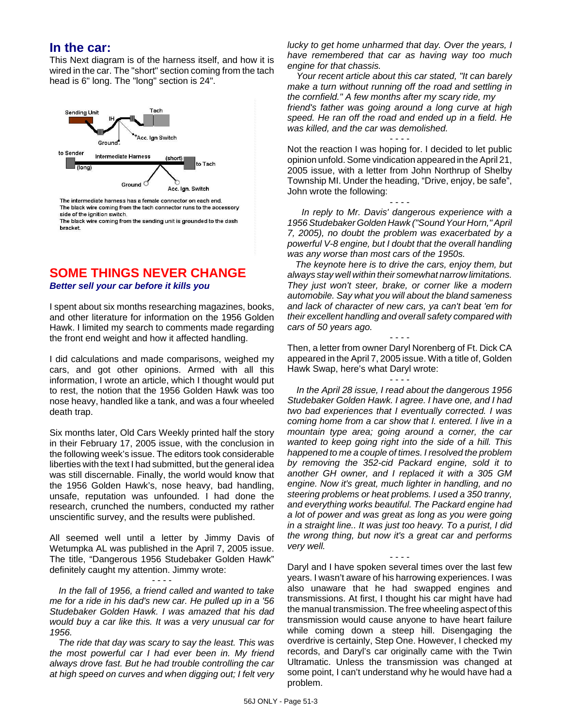### **In the car:**

This Next diagram is of the harness itself, and how it is wired in the car. The "short" section coming from the tach head is 6" long. The "long" section is 24".



The intermediate harness has a female connector on each end. The black wire coming from the tach connector runs to the accessory side of the ignition switch.

The black wire coming from the sending unit is grounded to the dash bracket.

### **SOME THINGS NEVER CHANGE**

*Better sell your car before it kills you*

I spent about six months researching magazines, books, and other literature for information on the 1956 Golden Hawk. I limited my search to comments made regarding the front end weight and how it affected handling.

I did calculations and made comparisons, weighed my cars, and got other opinions. Armed with all this information, I wrote an article, which I thought would put to rest, the notion that the 1956 Golden Hawk was too nose heavy, handled like a tank, and was a four wheeled death trap.

Six months later, Old Cars Weekly printed half the story in their February 17, 2005 issue, with the conclusion in the following week's issue. The editors took considerable liberties with the text I had submitted, but the general idea was still discernable. Finally, the world would know that the 1956 Golden Hawk's, nose heavy, bad handling, unsafe, reputation was unfounded. I had done the research, crunched the numbers, conducted my rather unscientific survey, and the results were published.

All seemed well until a letter by Jimmy Davis of Wetumpka AL was published in the April 7, 2005 issue. The title, "Dangerous 1956 Studebaker Golden Hawk" definitely caught my attention. Jimmy wrote:

- - - - *In the fall of 1956, a friend called and wanted to take me for a ride in his dad's new car. He pulled up in a '56 Studebaker Golden Hawk. I was amazed that his dad would buy a car like this. It was a very unusual car for 1956.*

*The ride that day was scary to say the least. This was the most powerful car I had ever been in. My friend always drove fast. But he had trouble controlling the car at high speed on curves and when digging out; I felt very* *lucky to get home unharmed that day. Over the years, I have remembered that car as having way too much engine for that chassis.*

*Your recent article about this car stated, "It can barely make a turn without running off the road and settling in the cornfield." A few months after my scary ride, my friend's father was going around a long curve at high speed. He ran off the road and ended up in a field. He was killed, and the car was demolished.*

- - - - Not the reaction I was hoping for. I decided to let public opinion unfold. Some vindication appeared in the April 21, 2005 issue, with a letter from John Northrup of Shelby Township MI. Under the heading, "Drive, enjoy, be safe", John wrote the following:

- - - -  *In reply to Mr. Davis' dangerous experience with a 1956 Studebaker Golden Hawk ("Sound Your Horn," April 7, 2005), no doubt the problem was exacerbated by a powerful V-8 engine, but I doubt that the overall handling was any worse than most cars of the 1950s.*

 *The keynote here is to drive the cars, enjoy them, but always stay well within their somewhat narrow limitations. They just won't steer, brake, or corner like a modern automobile. Say what you will about the bland sameness and lack of character of new cars, ya can't beat 'em for their excellent handling and overall safety compared with cars of 50 years ago.*

Then, a letter from owner Daryl Norenberg of Ft. Dick CA appeared in the April 7, 2005 issue. With a title of, Golden Hawk Swap, here's what Daryl wrote:

- - - -

- - - -

*In the April 28 issue, I read about the dangerous 1956 Studebaker Golden Hawk. I agree. I have one, and I had two bad experiences that I eventually corrected. I was coming home from a car show that I. entered. I live in a mountain type area; going around a corner, the car wanted to keep going right into the side of a hill. This happened to me a couple of times. I resolved the problem by removing the 352-cid Packard engine, sold it to another GH owner, and I replaced it with a 305 GM engine. Now it's great, much lighter in handling, and no steering problems or heat problems. I used a 350 tranny, and everything works beautiful. The Packard engine had a lot of power and was great as long as you were going in a straight line.. It was just too heavy. To a purist, I did the wrong thing, but now it's a great car and performs very well.*

- - - -

Daryl and I have spoken several times over the last few years. I wasn't aware of his harrowing experiences. I was also unaware that he had swapped engines and transmissions. At first, I thought his car might have had the manual transmission. The free wheeling aspect of this transmission would cause anyone to have heart failure while coming down a steep hill. Disengaging the overdrive is certainly, Step One. However, I checked my records, and Daryl's car originally came with the Twin Ultramatic. Unless the transmission was changed at some point, I can't understand why he would have had a problem.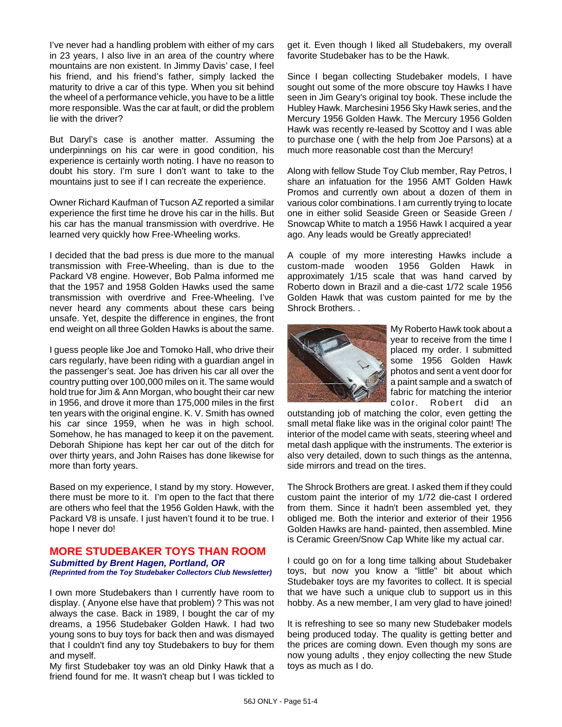I've never had a handling problem with either of my cars in 23 years, I also live in an area of the country where mountains are non existent. In Jimmy Davis' case, I feel his friend, and his friend's father, simply lacked the maturity to drive a car of this type. When you sit behind the wheel of a performance vehicle, you have to be a little more responsible. Was the car at fault, or did the problem lie with the driver?

But Daryl's case is another matter. Assuming the underpinnings on his car were in good condition, his experience is certainly worth noting. I have no reason to doubt his story. I'm sure I don't want to take to the mountains just to see if I can recreate the experience.

Owner Richard Kaufman of Tucson AZ reported a similar experience the first time he drove his car in the hills. But his car has the manual transmission with overdrive. He learned very quickly how Free-Wheeling works.

I decided that the bad press is due more to the manual transmission with Free-Wheeling, than is due to the Packard V8 engine. However, Bob Palma informed me that the 1957 and 1958 Golden Hawks used the same transmission with overdrive and Free-Wheeling. I've never heard any comments about these cars being unsafe. Yet, despite the difference in engines, the front end weight on all three Golden Hawks is about the same.

I guess people like Joe and Tomoko Hall, who drive their cars regularly, have been riding with a guardian angel in the passenger's seat. Joe has driven his car all over the country putting over 100,000 miles on it. The same would hold true for Jim & Ann Morgan, who bought their car new in 1956, and drove it more than 175,000 miles in the first ten years with the original engine. K. V. Smith has owned his car since 1959, when he was in high school. Somehow, he has managed to keep it on the pavement. Deborah Shipione has kept her car out of the ditch for over thirty years, and John Raises has done likewise for more than forty years.

Based on my experience, I stand by my story. However, there must be more to it. I'm open to the fact that there are others who feel that the 1956 Golden Hawk, with the Packard V8 is unsafe. I just haven't found it to be true. I hope I never do!

#### **MORE STUDEBAKER TOYS THAN ROOM** *Submitted by Brent Hagen, Portland, OR (Reprinted from the Toy Studebaker Collectors Club Newsletter)*

I own more Studebakers than I currently have room to display. ( Anyone else have that problem) ? This was not always the case. Back in 1989, I bought the car of my dreams, a 1956 Studebaker Golden Hawk. I had two young sons to buy toys for back then and was dismayed that I couldn't find any toy Studebakers to buy for them and myself.

My first Studebaker toy was an old Dinky Hawk that a friend found for me. It wasn't cheap but I was tickled to get it. Even though I liked all Studebakers, my overall favorite Studebaker has to be the Hawk.

Since I began collecting Studebaker models, I have sought out some of the more obscure toy Hawks I have seen in Jim Geary's original toy book. These include the Hubley Hawk. Marchesini 1956 Sky Hawk series, and the Mercury 1956 Golden Hawk. The Mercury 1956 Golden Hawk was recently re-leased by Scottoy and I was able to purchase one ( with the help from Joe Parsons) at a much more reasonable cost than the Mercury!

Along with fellow Stude Toy Club member, Ray Petros, I share an infatuation for the 1956 AMT Golden Hawk Promos and currently own about a dozen of them in various color combinations. I am currently trying to locate one in either solid Seaside Green or Seaside Green / Snowcap White to match a 1956 Hawk I acquired a year ago. Any leads would be Greatly appreciated!

A couple of my more interesting Hawks include a custom-made wooden 1956 Golden Hawk in approximately 1/15 scale that was hand carved by Roberto down in Brazil and a die-cast 1/72 scale 1956 Golden Hawk that was custom painted for me by the Shrock Brothers. .



My Roberto Hawk took about a year to receive from the time I placed my order. I submitted some 1956 Golden Hawk photos and sent a vent door for a paint sample and a swatch of fabric for matching the interior color. Robert did an

outstanding job of matching the color, even getting the small metal flake like was in the original color paint! The interior of the model came with seats, steering wheel and metal dash applique with the instruments. The exterior is also very detailed, down to such things as the antenna, side mirrors and tread on the tires.

The Shrock Brothers are great. I asked them if they could custom paint the interior of my 1/72 die-cast I ordered from them. Since it hadn't been assembled yet, they obliged me. Both the interior and exterior of their 1956 Golden Hawks are hand- painted, then assembled. Mine is Ceramic Green/Snow Cap White like my actual car.

I could go on for a long time talking about Studebaker toys, but now you know a "little" bit about which Studebaker toys are my favorites to collect. It is special that we have such a unique club to support us in this hobby. As a new member, I am very glad to have joined!

It is refreshing to see so many new Studebaker models being produced today. The quality is getting better and the prices are coming down. Even though my sons are now young adults , they enjoy collecting the new Stude toys as much as I do.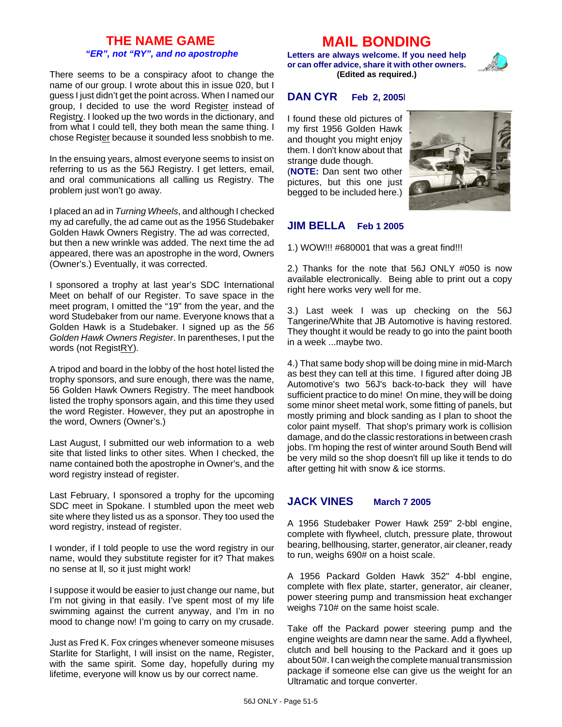### **THE NAME GAME** *"ER", not "RY", and no apostrophe*

There seems to be a conspiracy afoot to change the name of our group. I wrote about this in issue 020, but I guess I just didn't get the point across. When I named our group, I decided to use the word Register instead of Registry. I looked up the two words in the dictionary, and from what I could tell, they both mean the same thing. I chose Register because it sounded less snobbish to me.

In the ensuing years, almost everyone seems to insist on referring to us as the 56J Registry. I get letters, email, and oral communications all calling us Registry. The problem just won't go away.

I placed an ad in *Turning Wheels*, and although I checked my ad carefully, the ad came out as the 1956 Studebaker Golden Hawk Owners Registry. The ad was corrected, but then a new wrinkle was added. The next time the ad appeared, there was an apostrophe in the word, Owners (Owner's.) Eventually, it was corrected.

I sponsored a trophy at last year's SDC International Meet on behalf of our Register. To save space in the meet program, I omitted the "19" from the year, and the word Studebaker from our name. Everyone knows that a Golden Hawk is a Studebaker. I signed up as the *56 Golden Hawk Owners Register*. In parentheses, I put the words (not RegistRY).

A tripod and board in the lobby of the host hotel listed the trophy sponsors, and sure enough, there was the name, 56 Golden Hawk Owners Registry. The meet handbook listed the trophy sponsors again, and this time they used the word Register. However, they put an apostrophe in the word, Owners (Owner's.)

Last August, I submitted our web information to a web site that listed links to other sites. When I checked, the name contained both the apostrophe in Owner's, and the word registry instead of register.

Last February, I sponsored a trophy for the upcoming SDC meet in Spokane. I stumbled upon the meet web site where they listed us as a sponsor. They too used the word registry, instead of register.

I wonder, if I told people to use the word registry in our name, would they substitute register for it? That makes no sense at ll, so it just might work!

I suppose it would be easier to just change our name, but I'm not giving in that easily. I've spent most of my life swimming against the current anyway, and I'm in no mood to change now! I'm going to carry on my crusade.

Just as Fred K. Fox cringes whenever someone misuses Starlite for Starlight, I will insist on the name, Register, with the same spirit. Some day, hopefully during my lifetime, everyone will know us by our correct name.

## **MAIL BONDING**

**Letters are always welcome. If you need help or can offer advice, share it with other owners. (Edited as required.)**

### **DAN CYR Feb 2, 2005**l

I found these old pictures of my first 1956 Golden Hawk and thought you might enjoy them. I don't know about that strange dude though.

(**NOTE:** Dan sent two other pictures, but this one just begged to be included here.)



### **JIM BELLA Feb 1 2005**

1.) WOW!!! #680001 that was a great find!!!

2.) Thanks for the note that 56J ONLY #050 is now available electronically. Being able to print out a copy right here works very well for me.

3.) Last week I was up checking on the 56J Tangerine/White that JB Automotive is having restored. They thought it would be ready to go into the paint booth in a week ...maybe two.

4.) That same body shop will be doing mine in mid-March as best they can tell at this time. I figured after doing JB Automotive's two 56J's back-to-back they will have sufficient practice to do mine! On mine, they will be doing some minor sheet metal work, some fitting of panels, but mostly priming and block sanding as I plan to shoot the color paint myself. That shop's primary work is collision damage, and do the classic restorations in between crash jobs. I'm hoping the rest of winter around South Bend will be very mild so the shop doesn't fill up like it tends to do after getting hit with snow & ice storms.

### **JACK VINES March 7 2005**

A 1956 Studebaker Power Hawk 259" 2-bbl engine, complete with flywheel, clutch, pressure plate, throwout bearing, bellhousing, starter, generator, air cleaner, ready to run, weighs 690# on a hoist scale.

A 1956 Packard Golden Hawk 352" 4-bbl engine, complete with flex plate, starter, generator, air cleaner, power steering pump and transmission heat exchanger weighs 710# on the same hoist scale.

Take off the Packard power steering pump and the engine weights are damn near the same. Add a flywheel, clutch and bell housing to the Packard and it goes up about 50#. I can weigh the complete manual transmission package if someone else can give us the weight for an Ultramatic and torque converter.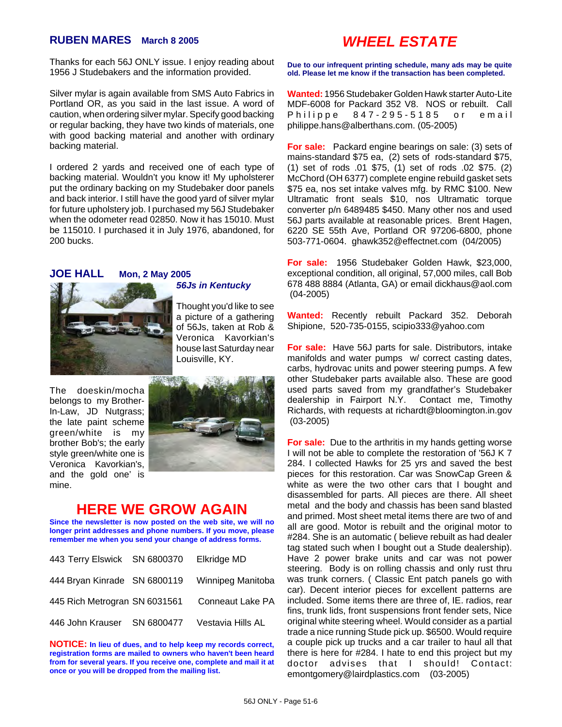### **RUBEN MARES March 8 2005**

Thanks for each 56J ONLY issue. I enjoy reading about 1956 J Studebakers and the information provided.

Silver mylar is again available from SMS Auto Fabrics in Portland OR, as you said in the last issue. A word of caution, when ordering silver mylar. Specify good backing or regular backing, they have two kinds of materials, one with good backing material and another with ordinary backing material.

I ordered 2 yards and received one of each type of backing material. Wouldn't you know it! My upholsterer put the ordinary backing on my Studebaker door panels and back interior. I still have the good yard of silver mylar for future upholstery job. I purchased my 56J Studebaker when the odometer read 02850. Now it has 15010. Must be 115010. I purchased it in July 1976, abandoned, for 200 bucks.

#### **JOE HALL Mon, 2 May 2005**



Thought you'd like to see a picture of a gathering of 56Js, taken at Rob & Veronica Kavorkian's house last Saturday near Louisville, KY.

*56Js in Kentucky* 

The doeskin/mocha belongs to my Brother-In-Law, JD Nutgrass; the late paint scheme green/white is my brother Bob's; the early style green/white one is Veronica Kavorkian's, and the gold one' is mine.



### **HERE WE GROW AGAIN**

**Since the newsletter is now posted on the web site, we will no longer print addresses and phone numbers. If you move, please remember me when you send your change of address forms.**

| 443 Terry Elswick SN 6800370  | Elkridge MD       |
|-------------------------------|-------------------|
| 444 Bryan Kinrade SN 6800119  | Winnipeg Manitoba |
| 445 Rich Metrogran SN 6031561 | Conneaut Lake PA  |
| 446 John Krauser SN 6800477   | Vestavia Hills AL |

**NOTICE: In lieu of dues, and to help keep my records correct, registration forms are mailed to owners who haven't been heard from for several years. If you receive one, complete and mail it at once or you will be dropped from the mailing list.**

# *WHEEL ESTATE*

**Due to our infrequent printing schedule, many ads may be quite old. Please let me know if the transaction has been completed.**

**Wanted:** 1956 Studebaker Golden Hawk starter Auto-Lite MDF-6008 for Packard 352 V8. NOS or rebuilt. Call Philippe 847-295-5185 or email philippe.hans@alberthans.com. (05-2005)

**For sale:** Packard engine bearings on sale: (3) sets of mains-standard \$75 ea, (2) sets of rods-standard \$75, (1) set of rods .01 \$75, (1) set of rods .02 \$75. (2) McChord (OH 6377) complete engine rebuild gasket sets \$75 ea, nos set intake valves mfg. by RMC \$100. New Ultramatic front seals \$10, nos Ultramatic torque converter p/n 6489485 \$450. Many other nos and used 56J parts available at reasonable prices. Brent Hagen, 6220 SE 55th Ave, Portland OR 97206-6800, phone 503-771-0604. ghawk352@effectnet.com (04/2005)

**For sale:** 1956 Studebaker Golden Hawk, \$23,000, exceptional condition, all original, 57,000 miles, call Bob 678 488 8884 (Atlanta, GA) or email dickhaus@aol.com (04-2005)

**Wanted:** Recently rebuilt Packard 352. Deborah Shipione, 520-735-0155, scipio333@yahoo.com

**For sale:** Have 56J parts for sale. Distributors, intake manifolds and water pumps w/ correct casting dates, carbs, hydrovac units and power steering pumps. A few other Studebaker parts available also. These are good used parts saved from my grandfather's Studebaker dealership in Fairport N.Y. Contact me, Timothy Richards, with requests at richardt@bloomington.in.gov (03-2005)

**For sale:** Due to the arthritis in my hands getting worse I will not be able to complete the restoration of '56J K 7 284. I collected Hawks for 25 yrs and saved the best pieces for this restoration. Car was SnowCap Green & white as were the two other cars that I bought and disassembled for parts. All pieces are there. All sheet metal and the body and chassis has been sand blasted and primed. Most sheet metal items there are two of and all are good. Motor is rebuilt and the original motor to #284. She is an automatic ( believe rebuilt as had dealer tag stated such when I bought out a Stude dealership). Have 2 power brake units and car was not power steering. Body is on rolling chassis and only rust thru was trunk corners. ( Classic Ent patch panels go with car). Decent interior pieces for excellent patterns are included. Some items there are three of, IE. radios, rear fins, trunk lids, front suspensions front fender sets, Nice original white steering wheel. Would consider as a partial trade a nice running Stude pick up. \$6500. Would require a couple pick up trucks and a car trailer to haul all that there is here for #284. I hate to end this project but my doctor advises that I should! Contact: emontgomery@lairdplastics.com (03-2005)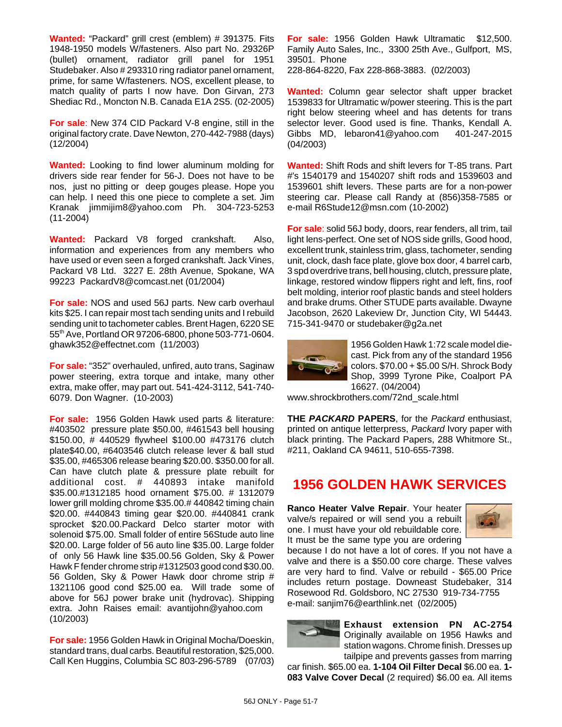**Wanted:** "Packard" grill crest (emblem) # 391375. Fits 1948-1950 models W/fasteners. Also part No. 29326P (bullet) ornament, radiator grill panel for 1951 Studebaker. Also # 293310 ring radiator panel ornament, prime, for same W/fasteners. NOS, excellent please, to match quality of parts I now have. Don Girvan, 273 Shediac Rd., Moncton N.B. Canada E1A 2S5. (02-2005)

**For sale**: New 374 CID Packard V-8 engine, still in the original factory crate. Dave Newton, 270-442-7988 (days) (12/2004)

**Wanted:** Looking to find lower aluminum molding for drivers side rear fender for 56-J. Does not have to be nos, just no pitting or deep gouges please. Hope you can help. I need this one piece to complete a set. Jim Kranak jimmijim8@yahoo.com Ph. 304-723-5253 (11-2004)

**Wanted:** Packard V8 forged crankshaft. Also, information and experiences from any members who have used or even seen a forged crankshaft. Jack Vines, Packard V8 Ltd. 3227 E. 28th Avenue, Spokane, WA 99223 PackardV8@comcast.net (01/2004)

**For sale:** NOS and used 56J parts. New carb overhaul kits \$25. I can repair most tach sending units and I rebuild sending unit to tachometer cables. Brent Hagen, 6220 SE 55th Ave, Portland OR 97206-6800, phone 503-771-0604. ghawk352@effectnet.com (11/2003)

**For sale:** "352" overhauled, unfired, auto trans, Saginaw power steering, extra torque and intake, many other extra, make offer, may part out. 541-424-3112, 541-740- 6079. Don Wagner. (10-2003)

**For sale:** 1956 Golden Hawk used parts & literature: #403502 pressure plate \$50.00, #461543 bell housing \$150.00, # 440529 flywheel \$100.00 #473176 clutch plate\$40.00, #6403546 clutch release lever & ball stud \$35.00, #465306 release bearing \$20.00. \$350.00 for all. Can have clutch plate & pressure plate rebuilt for additional cost. # 440893 intake manifold \$35.00.#1312185 hood ornament \$75.00. # 1312079 lower grill molding chrome \$35.00.# 440842 timing chain \$20.00. #440843 timing gear \$20.00. #440841 crank sprocket \$20.00.Packard Delco starter motor with solenoid \$75.00. Small folder of entire 56Stude auto line \$20.00. Large folder of 56 auto line \$35.00. Large folder of only 56 Hawk line \$35.00.56 Golden, Sky & Power Hawk F fender chrome strip #1312503 good cond \$30.00. 56 Golden, Sky & Power Hawk door chrome strip # 1321106 good cond \$25.00 ea. Will trade some of above for 56J power brake unit (hydrovac). Shipping extra. John Raises email: avantijohn@yahoo.com (10/2003)

**For sale:** 1956 Golden Hawk in Original Mocha/Doeskin, standard trans, dual carbs. Beautiful restoration, \$25,000. Call Ken Huggins, Columbia SC 803-296-5789 (07/03) **For sale:** 1956 Golden Hawk Ultramatic \$12,500. Family Auto Sales, Inc., 3300 25th Ave., Gulfport, MS, 39501. Phone

228-864-8220, Fax 228-868-3883. (02/2003)

**Wanted:** Column gear selector shaft upper bracket 1539833 for Ultramatic w/power steering. This is the part right below steering wheel and has detents for trans selector lever. Good used is fine. Thanks, Kendall A. Gibbs MD, lebaron41@yahoo.com 401-247-2015 (04/2003)

**Wanted:** Shift Rods and shift levers for T-85 trans. Part #'s 1540179 and 1540207 shift rods and 1539603 and 1539601 shift levers. These parts are for a non-power steering car. Please call Randy at (856)358-7585 or e-mail R6Stude12@msn.com (10-2002)

**For sale**: solid 56J body, doors, rear fenders, all trim, tail light lens-perfect. One set of NOS side grills, Good hood, excellent trunk, stainless trim, glass, tachometer, sending unit, clock, dash face plate, glove box door, 4 barrel carb, 3 spd overdrive trans, bell housing, clutch, pressure plate, linkage, restored window flippers right and left, fins, roof belt molding, interior roof plastic bands and steel holders and brake drums. Other STUDE parts available. Dwayne Jacobson, 2620 Lakeview Dr, Junction City, WI 54443. 715-341-9470 or studebaker@g2a.net



1956 Golden Hawk 1:72 scale model diecast. Pick from any of the standard 1956 colors. \$70.00 + \$5.00 S/H. Shrock Body Shop, 3999 Tyrone Pike, Coalport PA 16627. (04/2004)

www.shrockbrothers.com/72nd\_scale.html

**THE** *PACKARD* **PAPERS**, for the *Packard* enthusiast, printed on antique letterpress, *Packard* Ivory paper with black printing. The Packard Papers, 288 Whitmore St., #211, Oakland CA 94611, 510-655-7398.

### **1956 GOLDEN HAWK SERVICES**

**Ranco Heater Valve Repair**. Your heater valve/s repaired or will send you a rebuilt one. I must have your old rebuildable core. It must be the same type you are ordering



because I do not have a lot of cores. If you not have a valve and there is a \$50.00 core charge. These valves are very hard to find. Valve or rebuild - \$65.00 Price includes return postage. Downeast Studebaker, 314 Rosewood Rd. Goldsboro, NC 27530 919-734-7755 e-mail: sanjim76@earthlink.net (02/2005)

**Exhaust extension PN AC-2754** Originally available on 1956 Hawks and station wagons. Chrome finish. Dresses up tailpipe and prevents gasses from marring

car finish. \$65.00 ea. **1-104 Oil Filter Decal** \$6.00 ea. **1- 083 Valve Cover Decal** (2 required) \$6.00 ea. All items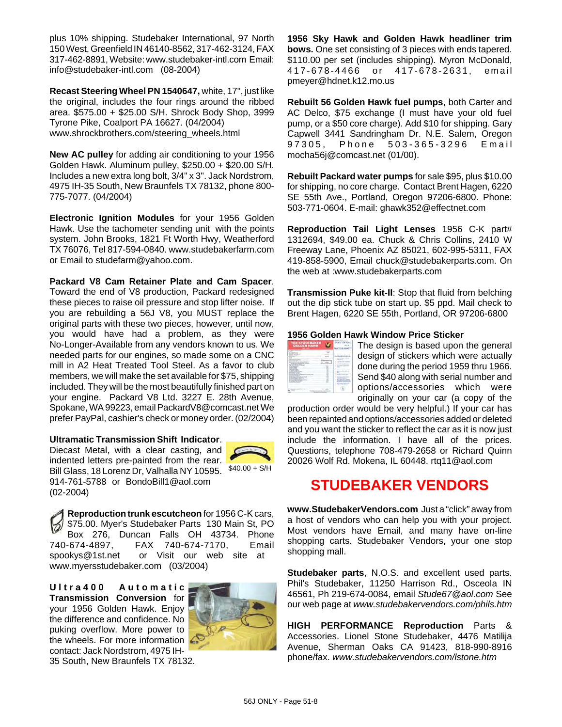plus 10% shipping. Studebaker International, 97 North 150 West, Greenfield IN 46140-8562, 317-462-3124, FAX 317-462-8891, Website: www.studebaker-intl.com Email: info@studebaker-intl.com (08-2004)

**Recast Steering Wheel PN 1540647,** white, 17", just like the original, includes the four rings around the ribbed area. \$575.00 + \$25.00 S/H. Shrock Body Shop, 3999 Tyrone Pike, Coalport PA 16627. (04/2004) www.shrockbrothers.com/steering\_wheels.html

**New AC pulley** for adding air conditioning to your 1956 Golden Hawk. Aluminum pulley, \$250.00 + \$20.00 S/H. Includes a new extra long bolt, 3/4" x 3". Jack Nordstrom, 4975 IH-35 South, New Braunfels TX 78132, phone 800- 775-7077. (04/2004)

**Electronic Ignition Modules** for your 1956 Golden Hawk. Use the tachometer sending unit with the points system. John Brooks, 1821 Ft Worth Hwy, Weatherford TX 76076, Tel 817-594-0840. www.studebakerfarm.com or Email to studefarm@yahoo.com.

**Packard V8 Cam Retainer Plate and Cam Spacer**.

Toward the end of V8 production, Packard redesigned these pieces to raise oil pressure and stop lifter noise. If you are rebuilding a 56J V8, you MUST replace the original parts with these two pieces, however, until now, you would have had a problem, as they were No-Longer-Available from any vendors known to us. We needed parts for our engines, so made some on a CNC mill in A2 Heat Treated Tool Steel. As a favor to club members, we will make the set available for \$75, shipping included. They will be the most beautifully finished part on your engine. Packard V8 Ltd. 3227 E. 28th Avenue, Spokane, WA 99223, email PackardV8@comcast.net We prefer PayPal, cashier's check or money order. (02/2004)

#### **Ultramatic Transmission Shift Indicator**.

Bill Glass, 18 Lorenz Dr, Valhalla NY 10595. \$40.00 + S/H Diecast Metal, with a clear casting, and indented letters pre-painted from the rear. 914-761-5788 or BondoBill1@aol.com (02-2004)



**Reproduction trunk escutcheon** for 1956 C-K cars, \$75.00. Myer's Studebaker Parts 130 Main St, PO Box 276, Duncan Falls OH 43734. Phone 740-674-4897, FAX 740-674-7170, Email spookys@1st.net or Visit our web site at www.myersstudebaker.com (03/2004)

**Ultra400 Automatic Transmission Conversion** for your 1956 Golden Hawk. Enjoy the difference and confidence. No puking overflow. More power to the wheels. For more information contact: Jack Nordstrom, 4975 IH-35 South, New Braunfels TX 78132.



**1956 Sky Hawk and Golden Hawk headliner trim bows.** One set consisting of 3 pieces with ends tapered. \$110.00 per set (includes shipping). Myron McDonald, 417-678-4466 or 417-678-2631, email pmeyer@hdnet.k12.mo.us

**Rebuilt 56 Golden Hawk fuel pumps**, both Carter and AC Delco, \$75 exchange (I must have your old fuel pump, or a \$50 core charge). Add \$10 for shipping. Gary Capwell 3441 Sandringham Dr. N.E. Salem, Oregon 97305, Phone 503-365-3296 Email mocha56j@comcast.net (01/00).

**Rebuilt Packard water pumps** for sale \$95, plus \$10.00 for shipping, no core charge. Contact Brent Hagen, 6220 SE 55th Ave., Portland, Oregon 97206-6800. Phone: 503-771-0604. E-mail: ghawk352@effectnet.com

**Reproduction Tail Light Lenses** 1956 C-K part# 1312694, \$49.00 ea. Chuck & Chris Collins, 2410 W Freeway Lane, Phoenix AZ 85021, 602-995-5311, FAX 419-858-5900, Email chuck@studebakerparts.com. On the web at :www.studebakerparts.com

**Transmission Puke kit-II**: Stop that fluid from belching out the dip stick tube on start up. \$5 ppd. Mail check to Brent Hagen, 6220 SE 55th, Portland, OR 97206-6800

#### **1956 Golden Hawk Window Price Sticker**

| THE STUDEDAKER<br>GOLDEN HAWK |   |
|-------------------------------|---|
|                               |   |
|                               | ٠ |
|                               |   |
|                               |   |
|                               |   |

The design is based upon the general design of stickers which were actually done during the period 1959 thru 1966. Send \$40 along with serial number and options/accessories which were originally on your car (a copy of the

production order would be very helpful.) If your car has been repainted and options/accessories added or deleted and you want the sticker to reflect the car as it is now just include the information. I have all of the prices. Questions, telephone 708-479-2658 or Richard Quinn 20026 Wolf Rd. Mokena, IL 60448. rtq11@aol.com

# **STUDEBAKER VENDORS**

**www.StudebakerVendors.com** Just a "click" away from a host of vendors who can help you with your project. Most vendors have Email, and many have on-line shopping carts. Studebaker Vendors, your one stop shopping mall.

**Studebaker parts**, N.O.S. and excellent used parts. Phil's Studebaker, 11250 Harrison Rd., Osceola IN 46561, Ph 219-674-0084, email *Stude67@aol.com* See our web page at *www.studebakervendors.com/phils.htm*

**HIGH PERFORMANCE Reproduction** Parts & Accessories. Lionel Stone Studebaker, 4476 Matilija Avenue, Sherman Oaks CA 91423, 818-990-8916 phone/fax. *www.studebakervendors.com/lstone.htm*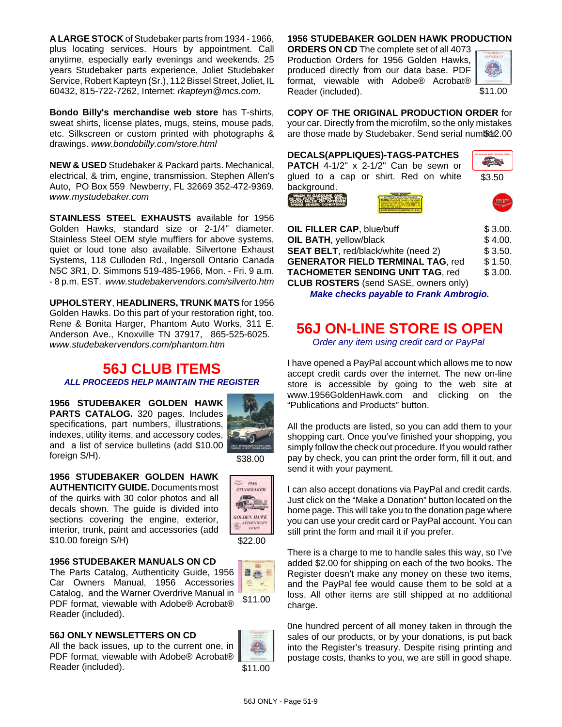**A LARGE STOCK** of Studebaker parts from 1934 - 1966, plus locating services. Hours by appointment. Call anytime, especially early evenings and weekends. 25 years Studebaker parts experience, Joliet Studebaker Service, Robert Kapteyn (Sr.), 112 Bissel Street, Joliet, IL 60432, 815-722-7262, Internet: *rkapteyn@mcs.com*.

**Bondo Billy's merchandise web store** has T-shirts, sweat shirts, license plates, mugs, steins, mouse pads, etc. Silkscreen or custom printed with photographs & drawings. *www.bondobilly.com/store.html*

**NEW & USED** Studebaker & Packard parts. Mechanical, electrical, & trim, engine, transmission. Stephen Allen's Auto, PO Box 559 Newberry, FL 32669 352-472-9369. *www.mystudebaker.com*

**STAINLESS STEEL EXHAUSTS** available for 1956 Golden Hawks, standard size or 2-1/4" diameter. Stainless Steel OEM style mufflers for above systems, quiet or loud tone also available. Silvertone Exhaust Systems, 118 Culloden Rd., Ingersoll Ontario Canada N5C 3R1, D. Simmons 519-485-1966, Mon. - Fri. 9 a.m. - 8 p.m. EST. *www.studebakervendors.com/silverto.htm*

**UPHOLSTERY**, **HEADLINERS, TRUNK MATS** for 1956 Golden Hawks. Do this part of your restoration right, too. Rene & Bonita Harger, Phantom Auto Works, 311 E. Anderson Ave., Knoxville TN 37917, 865-525-6025. *www.studebakervendors.com/phantom.htm*

### **56J CLUB ITEMS** *ALL PROCEEDS HELP MAINTAIN THE REGISTER*

**1956 STUDEBAKER GOLDEN HAWK PARTS CATALOG.** 320 pages. Includes specifications, part numbers, illustrations, indexes, utility items, and accessory codes, and a list of service bulletins (add \$10.00 foreign S/H).



\$38.00

 $= 1956$ **STUDEBAKER**  $\sqrt{3}$ **GOLDEN HAWK**  $\begin{picture}(120,10) \put(0,0){\vector(1,0){10}} \put(15,0){\vector(1,0){10}} \put(15,0){\vector(1,0){10}} \put(15,0){\vector(1,0){10}} \put(15,0){\vector(1,0){10}} \put(15,0){\vector(1,0){10}} \put(15,0){\vector(1,0){10}} \put(15,0){\vector(1,0){10}} \put(15,0){\vector(1,0){10}} \put(15,0){\vector(1,0){10}} \put(15,0){\vector(1,0){10}} \put(15,0){\vector($ 

\$22.00

**1956 STUDEBAKER GOLDEN HAWK AUTHENTICITY GUIDE.** Documents most of the quirks with 30 color photos and all decals shown. The guide is divided into sections covering the engine, exterior, interior, trunk, paint and accessories (add \$10.00 foreign S/H)

#### **1956 STUDEBAKER MANUALS ON CD**

The Parts Catalog, Authenticity Guide, 1956 Car Owners Manual, 1956 Accessories Catalog, and the Warner Overdrive Manual in PDF format, viewable with Adobe® Acrobat® Reader (included).

#### **56J ONLY NEWSLETTERS ON CD**

All the back issues, up to the current one, in PDF format, viewable with Adobe® Acrobat® Reader (included).



\$11.00

日会国 **第一** 

#### **1956 STUDEBAKER GOLDEN HAWK PRODUCTION**

**ORDERS ON CD** The complete set of all 4073 Production Orders for 1956 Golden Hawks, produced directly from our data base. PDF format, viewable with Adobe® Acrobat® Reader (included).



\$11.00

**COPY OF THE ORIGINAL PRODUCTION ORDER** for your car. Directly from the microfilm, so the only mistakes are those made by Studebaker. Send serial number. 00

|  | <b>DECALS(APPLIQUES)-TAGS-PATCHES</b> |  |
|--|---------------------------------------|--|
|  |                                       |  |

**PATCH** 4-1/2" x 2-1/2" Can be sewn or glued to a cap or shirt. Red on white background.



**RE-OIL FILTER ELEMENT EVER**<br>2000 MILES OF OFTENE





| <b>OIL FILLER CAP, blue/buff</b>             | \$3.00. |
|----------------------------------------------|---------|
| <b>OIL BATH, yellow/black</b>                | \$4.00. |
| <b>SEAT BELT, red/black/white (need 2)</b>   | \$3.50. |
| <b>GENERATOR FIELD TERMINAL TAG, red</b>     | \$1.50. |
| <b>TACHOMETER SENDING UNIT TAG, red</b>      | \$3.00. |
| <b>CLUB ROSTERS</b> (send SASE, owners only) |         |

*Make checks payable to Frank Ambrogio.*

# **56J ON-LINE STORE IS OPEN**

*Order any item using credit card or PayPal*

I have opened a PayPal account which allows me to now accept credit cards over the internet. The new on-line store is accessible by going to the web site at www.1956GoldenHawk.com and clicking on the "Publications and Products" button.

All the products are listed, so you can add them to your shopping cart. Once you've finished your shopping, you simply follow the check out procedure. If you would rather pay by check, you can print the order form, fill it out, and send it with your payment.

I can also accept donations via PayPal and credit cards. Just click on the "Make a Donation" button located on the home page. This will take you to the donation page where you can use your credit card or PayPal account. You can still print the form and mail it if you prefer.

There is a charge to me to handle sales this way, so I've added \$2.00 for shipping on each of the two books. The Register doesn't make any money on these two items, and the PayPal fee would cause them to be sold at a loss. All other items are still shipped at no additional charge.

0ne hundred percent of all money taken in through the sales of our products, or by your donations, is put back into the Register's treasury. Despite rising printing and postage costs, thanks to you, we are still in good shape.